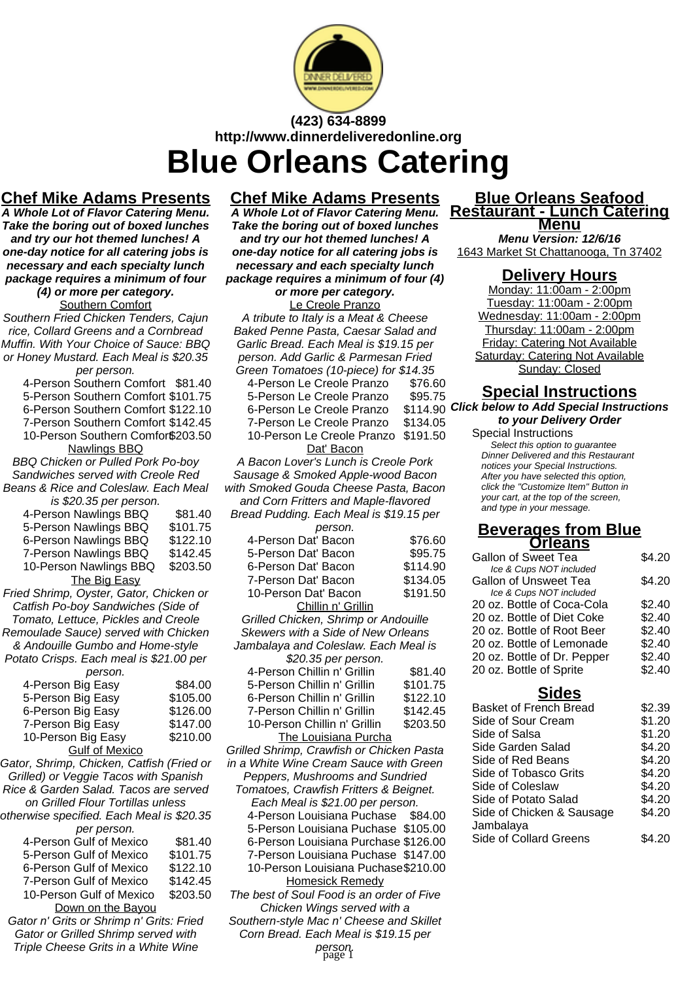

## **(423) 634-8899 http://www.dinnerdeliveredonline.org Blue Orleans Catering**

## **Chef Mike Adams Presents**

**A Whole Lot of Flavor Catering Menu. Take the boring out of boxed lunches and try our hot themed lunches! A one-day notice for all catering jobs is necessary and each specialty lunch package requires a minimum of four (4) or more per category.**

Southern Comfort

Southern Fried Chicken Tenders, Cajun rice, Collard Greens and a Cornbread Muffin. With Your Choice of Sauce: BBQ or Honey Mustard. Each Meal is \$20.35 per person.

4-Person Southern Comfort \$81.40

- 5-Person Southern Comfort \$101.75
- 6-Person Southern Comfort \$122.10
- 7-Person Southern Comfort \$142.45
- 10-Person Southern Comfor\$203.50

Nawlings BBQ BBQ Chicken or Pulled Pork Po-boy

Sandwiches served with Creole Red Beans & Rice and Coleslaw. Each Meal  $\sim$  000.35 per person.

| IS DZU.30 DEI DEISOII. |          |
|------------------------|----------|
| 4-Person Nawlings BBQ  | \$81.40  |
| 5-Person Nawlings BBQ  | \$101.75 |
| 6-Person Nawlings BBQ  | \$122.10 |
| 7-Person Nawlings BBQ  | \$142.45 |
| 10-Person Nawlings BBQ | \$203.50 |
| The Big Easy           |          |
|                        |          |

Fried Shrimp, Oyster, Gator, Chicken or Catfish Po-boy Sandwiches (Side of Tomato, Lettuce, Pickles and Creole Remoulade Sauce) served with Chicken & Andouille Gumbo and Home-style

Potato Crisps. Each meal is \$21.00 per person.

| 4-Person Big Easy     | \$84.00  |
|-----------------------|----------|
| 5-Person Big Easy     | \$105.00 |
| 6-Person Big Easy     | \$126.00 |
| 7-Person Big Easy     | \$147.00 |
| 10-Person Big Easy    | \$210.00 |
| <b>Gulf of Mexico</b> |          |

Gator, Shrimp, Chicken, Catfish (Fried or Grilled) or Veggie Tacos with Spanish Rice & Garden Salad. Tacos are served on Grilled Flour Tortillas unless otherwise specified. Each Meal is \$20.35 per person

| <b>PEI PEISUIL</b>       |          |
|--------------------------|----------|
| 4-Person Gulf of Mexico  | \$81.40  |
| 5-Person Gulf of Mexico  | \$101.75 |
| 6-Person Gulf of Mexico  | \$122.10 |
| 7-Person Gulf of Mexico  | \$142.45 |
| 10-Person Gulf of Mexico | \$203.50 |
| Down on the Bayou        |          |
|                          |          |

Gator n' Grits or Shrimp n' Grits: Fried Gator or Grilled Shrimp served with Triple Cheese Grits in a White Wine

## **Chef Mike Adams Presents**

**A Whole Lot of Flavor Catering Menu. Take the boring out of boxed lunches and try our hot themed lunches! A one-day notice for all catering jobs is necessary and each specialty lunch package requires a minimum of four (4)**

**or more per category.** Le Creole Pranzo A tribute to Italy is a Meat & Cheese Baked Penne Pasta, Caesar Salad and Garlic Bread. Each Meal is \$19.15 per person. Add Garlic & Parmesan Fried Green Tomatoes (10-piece) for \$14.35

- 4-Person Le Creole Pranzo \$76.60 5-Person Le Creole Pranzo \$95.75
	-

6-Person Le Creole Pranzo \$114.90<br>7-Person Le Creole Pranzo \$134.05 7-Person Le Creole Pranzo

10-Person Le Creole Pranzo \$191.50

Dat' Bacon

A Bacon Lover's Lunch is Creole Pork Sausage & Smoked Apple-wood Bacon with Smoked Gouda Cheese Pasta, Bacon and Corn Fritters and Maple-flavored Bread Pudding. Each Meal is \$19.15 per

| person.                              |          |
|--------------------------------------|----------|
| 4-Person Dat' Bacon                  | \$76.60  |
| 5-Person Dat' Bacon                  | \$95.75  |
| 6-Person Dat' Bacon                  | \$114.90 |
| 7-Person Dat' Bacon                  | \$134.05 |
| 10-Person Dat' Bacon                 | \$191.50 |
| Chillin n' Grillin                   |          |
| Grilled Chicken, Shrimp or Andouille |          |
| Skewers with a Side of New Orleans   |          |
| Jambalaya and Coleslaw. Each Meal is |          |
| $0.0000$ $0.00000$                   |          |

| <b>\$20.35 per person.</b>   |          |
|------------------------------|----------|
| 4-Person Chillin n' Grillin  | \$81.40  |
| 5-Person Chillin n' Grillin  | \$101.75 |
| 6-Person Chillin n' Grillin  | \$122.10 |
| 7-Person Chillin n' Grillin  | \$142.45 |
| 10-Person Chillin n' Grillin | \$203.50 |
| The Louisiana Durcha         |          |

The Louisiana Purcha Grilled Shrimp, Crawfish or Chicken Pasta in a White Wine Cream Sauce with Green Peppers, Mushrooms and Sundried Tomatoes, Crawfish Fritters & Beignet. Each Meal is \$21.00 per person. 4-Person Louisiana Puchase \$84.00 5-Person Louisiana Puchase \$105.00 6-Person Louisiana Purchase \$126.00 7-Person Louisiana Puchase \$147.00 10-Person Louisiana Puchase\$210.00 Homesick Remedy The best of Soul Food is an order of Five Chicken Wings served with a

Southern-style Mac n' Cheese and Skillet Corn Bread. Each Meal is \$19.15 per

person. page 1

#### **Blue Orleans Seafood Restaurant - Lunch Catering Menu**

**Menu Version: 12/6/16** 1643 Market St Chattanooga, Tn 37402

### **Delivery Hours**

Monday: 11:00am - 2:00pm Tuesday: 11:00am - 2:00pm Wednesday: 11:00am - 2:00pm Thursday: 11:00am - 2:00pm Friday: Catering Not Available Saturday: Catering Not Available Sunday: Closed

# **Special Instructions**

\$114.90 Click below to Add Special Instructions **to your Delivery Order**

#### Special Instructions

Select this option to quarantee Dinner Delivered and this Restaurant notices your Special Instructions. After you have selected this option, click the "Customize Item" Button in your cart, at the top of the screen, and type in your message.

#### **Beverages from Blue Orleans**

| \$4.20 |
|--------|
|        |
|        |
| \$4.20 |
|        |
| \$2.40 |
| \$2.40 |
| \$2.40 |
| \$2.40 |
| \$2.40 |
| \$2.40 |
|        |

### **Sides**

| <b>Basket of French Bread</b> | \$2.39 |
|-------------------------------|--------|
| Side of Sour Cream            | \$1.20 |
| Side of Salsa                 | \$1.20 |
| Side Garden Salad             | \$4.20 |
| Side of Red Beans             | \$4.20 |
| Side of Tobasco Grits         | \$4.20 |
| Side of Coleslaw              | \$4.20 |
| Side of Potato Salad          | \$4.20 |
| Side of Chicken & Sausage     | \$4.20 |
| Jambalaya                     |        |
| <b>Side of Collard Greens</b> | S4 20  |
|                               |        |